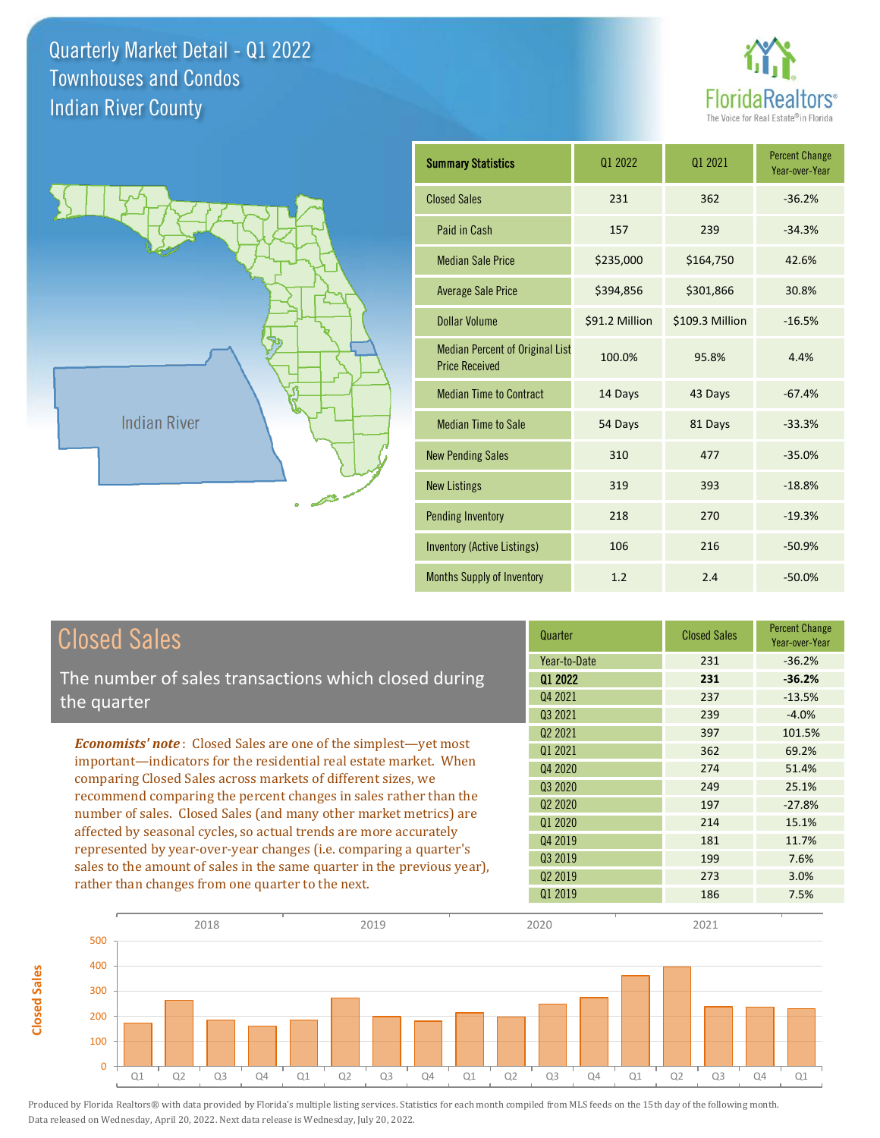



**Closed Sales**

**Closed Sales** 

| <b>Summary Statistics</b>                                       | 01 2022        | 01 2021         | <b>Percent Change</b><br>Year-over-Year |
|-----------------------------------------------------------------|----------------|-----------------|-----------------------------------------|
| <b>Closed Sales</b>                                             | 231            | 362             | $-36.2%$                                |
| Paid in Cash                                                    | 157            | 239             | $-34.3%$                                |
| <b>Median Sale Price</b>                                        | \$235,000      | \$164,750       | 42.6%                                   |
| <b>Average Sale Price</b>                                       | \$394,856      | \$301,866       | 30.8%                                   |
| Dollar Volume                                                   | \$91.2 Million | \$109.3 Million | $-16.5%$                                |
| <b>Median Percent of Original List</b><br><b>Price Received</b> | 100.0%         | 95.8%           | 4.4%                                    |
| <b>Median Time to Contract</b>                                  | 14 Days        | 43 Days         | $-67.4%$                                |
| <b>Median Time to Sale</b>                                      | 54 Days        | 81 Days         | $-33.3%$                                |
| <b>New Pending Sales</b>                                        | 310            | 477             | $-35.0%$                                |
| <b>New Listings</b>                                             | 319            | 393             | $-18.8%$                                |
| <b>Pending Inventory</b>                                        | 218            | 270             | $-19.3%$                                |
| <b>Inventory (Active Listings)</b>                              | 106            | 216             | $-50.9%$                                |
| <b>Months Supply of Inventory</b>                               | 1.2            | 2.4             | $-50.0%$                                |

| <b>Closed Sales</b>                                                                                                                                                                                                                                                                                                                                                                                                                                                                                                                                                                                                            | Quarter                                       | <b>Closed Sales</b>      | <b>Percent Change</b><br>Year-over-Year     |
|--------------------------------------------------------------------------------------------------------------------------------------------------------------------------------------------------------------------------------------------------------------------------------------------------------------------------------------------------------------------------------------------------------------------------------------------------------------------------------------------------------------------------------------------------------------------------------------------------------------------------------|-----------------------------------------------|--------------------------|---------------------------------------------|
| The number of sales transactions which closed during<br>the quarter                                                                                                                                                                                                                                                                                                                                                                                                                                                                                                                                                            | Year-to-Date<br>Q1 2022<br>Q4 2021<br>Q3 2021 | 231<br>231<br>237<br>239 | $-36.2%$<br>$-36.2%$<br>$-13.5%$<br>$-4.0%$ |
| <b>Economists' note:</b> Closed Sales are one of the simplest—yet most<br>important-indicators for the residential real estate market. When<br>comparing Closed Sales across markets of different sizes, we<br>recommend comparing the percent changes in sales rather than the<br>number of sales. Closed Sales (and many other market metrics) are<br>affected by seasonal cycles, so actual trends are more accurately<br>represented by year-over-year changes (i.e. comparing a quarter's<br>sales to the amount of sales in the same quarter in the previous year),<br>rather than changes from one quarter to the next. | 02 2021<br>01 2021<br>Q4 2020<br>Q3 2020      | 397<br>362<br>274<br>249 | 101.5%<br>69.2%<br>51.4%<br>25.1%           |
|                                                                                                                                                                                                                                                                                                                                                                                                                                                                                                                                                                                                                                | Q <sub>2</sub> 2020<br>Q1 2020<br>04 2019     | 197<br>214<br>181        | $-27.8%$<br>15.1%<br>11.7%                  |
|                                                                                                                                                                                                                                                                                                                                                                                                                                                                                                                                                                                                                                | Q3 2019<br>02 2019<br>Q1 2019                 | 199<br>273<br>186        | 7.6%<br>3.0%<br>7.5%                        |

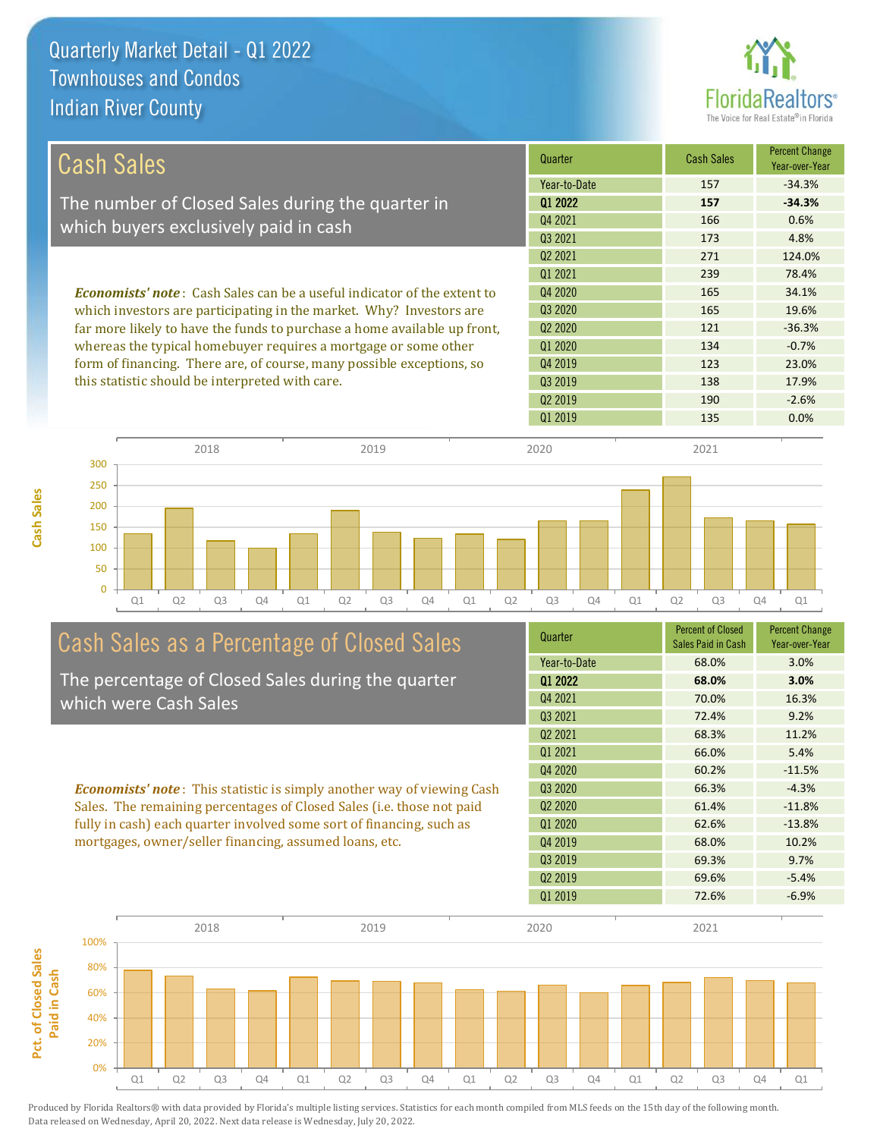**Cash Sales**



| <b>Cash Sales</b>                                                              | Quarter             | <b>Cash Sales</b> | <b>Percent Change</b><br>Year-over-Year |
|--------------------------------------------------------------------------------|---------------------|-------------------|-----------------------------------------|
|                                                                                | Year-to-Date        | 157               | $-34.3%$                                |
| The number of Closed Sales during the quarter in                               | 01 2022             | 157               | $-34.3%$                                |
| which buyers exclusively paid in cash                                          | Q4 2021             | 166               | 0.6%                                    |
|                                                                                | 03 2021             | 173               | 4.8%                                    |
|                                                                                | Q <sub>2</sub> 2021 | 271               | 124.0%                                  |
|                                                                                | 01 2021             | 239               | 78.4%                                   |
| <b>Economists' note:</b> Cash Sales can be a useful indicator of the extent to | Q4 2020             | 165               | 34.1%                                   |
| which investors are participating in the market. Why? Investors are            | Q3 2020             | 165               | 19.6%                                   |
| far more likely to have the funds to purchase a home available up front,       | Q <sub>2</sub> 2020 | 121               | $-36.3%$                                |
| whereas the typical homebuyer requires a mortgage or some other                | Q1 2020             | 134               | $-0.7%$                                 |
| form of financing. There are, of course, many possible exceptions, so          | Q4 2019             | 123               | 23.0%                                   |
| this statistic should be interpreted with care.                                | 03 2019             | 138               | 17.9%                                   |
|                                                                                | Q <sub>2</sub> 2019 | 190               | $-2.6%$                                 |



# Cash Sales as a Percentage of Closed Sales

The percentage of Closed Sales during the quarter which were Cash Sales

*Economists' note* : This statistic is simply another way of viewing Cash Sales. The remaining percentages of Closed Sales (i.e. those not paid fully in cash) each quarter involved some sort of financing, such as mortgages, owner/seller financing, assumed loans, etc.

| Quarter             | <b>Percent of Closed</b><br>Sales Paid in Cash | <b>Percent Change</b><br>Year-over-Year |
|---------------------|------------------------------------------------|-----------------------------------------|
| Year-to-Date        | 68.0%                                          | 3.0%                                    |
| Q1 2022             | 68.0%                                          | 3.0%                                    |
| Q4 2021             | 70.0%                                          | 16.3%                                   |
| 03 2021             | 72.4%                                          | 9.2%                                    |
| 02 2021             | 68.3%                                          | 11.2%                                   |
| 01 2021             | 66.0%                                          | 5.4%                                    |
| Q4 2020             | 60.2%                                          | $-11.5%$                                |
| Q <sub>3</sub> 2020 | 66.3%                                          | $-4.3%$                                 |
| 02 2020             | 61.4%                                          | $-11.8%$                                |
| Q1 2020             | 62.6%                                          | $-13.8%$                                |
| 04 2019             | 68.0%                                          | 10.2%                                   |
| Q3 2019             | 69.3%                                          | 9.7%                                    |
| Q <sub>2</sub> 2019 | 69.6%                                          | $-5.4%$                                 |
| 01 2019             | 72.6%                                          | $-6.9%$                                 |

Q1 2019 135 0.0%

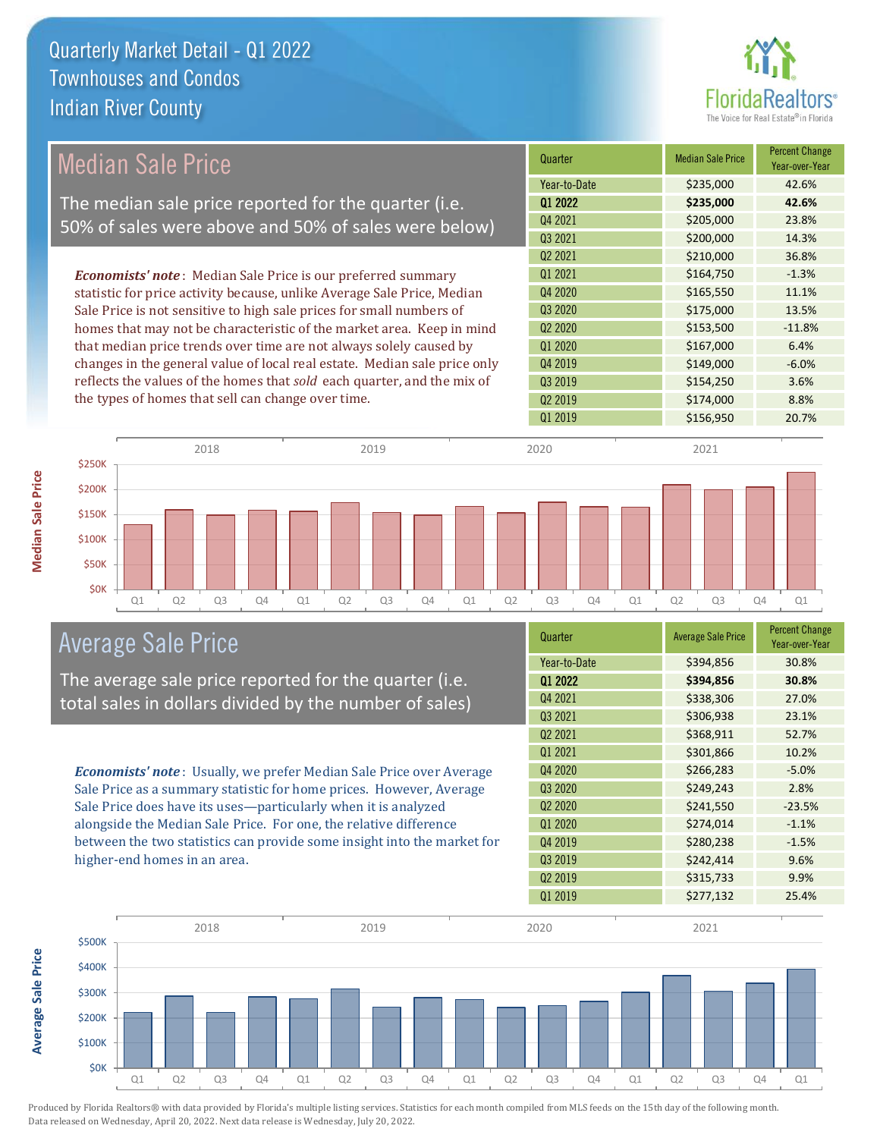

| Median Sale Price                                                         | Quarter             | <b>Median Sale Price</b> | <b>Percent Change</b><br>Year-over-Year |
|---------------------------------------------------------------------------|---------------------|--------------------------|-----------------------------------------|
|                                                                           | Year-to-Date        | \$235,000                | 42.6%                                   |
| The median sale price reported for the quarter (i.e.                      | 01 2022             | \$235,000                | 42.6%                                   |
| 50% of sales were above and 50% of sales were below)                      | Q4 2021             | \$205,000                | 23.8%                                   |
|                                                                           | Q3 2021             | \$200,000                | 14.3%                                   |
|                                                                           | Q <sub>2</sub> 2021 | \$210,000                | 36.8%                                   |
| <b>Economists' note:</b> Median Sale Price is our preferred summary       | 01 2021             | \$164,750                | $-1.3%$                                 |
| statistic for price activity because, unlike Average Sale Price, Median   | Q4 2020             | \$165,550                | 11.1%                                   |
| Sale Price is not sensitive to high sale prices for small numbers of      | Q3 2020             | \$175,000                | 13.5%                                   |
| homes that may not be characteristic of the market area. Keep in mind     | Q <sub>2</sub> 2020 | \$153,500                | $-11.8%$                                |
| that median price trends over time are not always solely caused by        | 01 2020             | \$167,000                | 6.4%                                    |
| changes in the general value of local real estate. Median sale price only | Q4 2019             | \$149,000                | $-6.0%$                                 |
| reflects the values of the homes that sold each quarter, and the mix of   | Q3 2019             | \$154,250                | 3.6%                                    |
| the types of homes that sell can change over time.                        | Q <sub>2</sub> 2019 | \$174,000                | 8.8%                                    |
|                                                                           | 01 2019             | \$156,950                | 20.7%                                   |
|                                                                           |                     |                          |                                         |



### Average Sale Price

The average sale price reported for the quarter (i.e. total sales in dollars divided by the number of sales)

*Economists' note* : Usually, we prefer Median Sale Price over Average Sale Price as a summary statistic for home prices. However, Average Sale Price does have its uses—particularly when it is analyzed alongside the Median Sale Price. For one, the relative difference between the two statistics can provide some insight into the market for higher-end homes in an area.

| Quarter             | <b>Average Sale Price</b> | <b>Percent Change</b><br>Year-over-Year |
|---------------------|---------------------------|-----------------------------------------|
| Year-to-Date        | \$394,856                 | 30.8%                                   |
| Q1 2022             | \$394,856                 | 30.8%                                   |
| Q4 2021             | \$338,306                 | 27.0%                                   |
| Q3 2021             | \$306,938                 | 23.1%                                   |
| Q2 2021             | \$368,911                 | 52.7%                                   |
| 01 2021             | \$301,866                 | 10.2%                                   |
| Q4 2020             | \$266,283                 | $-5.0%$                                 |
| Q3 2020             | \$249,243                 | 2.8%                                    |
| Q2 2020             | \$241,550                 | $-23.5%$                                |
| Q1 2020             | \$274,014                 | $-1.1%$                                 |
| Q4 2019             | \$280,238                 | $-1.5%$                                 |
| Q3 2019             | \$242,414                 | 9.6%                                    |
| Q <sub>2</sub> 2019 | \$315,733                 | 9.9%                                    |
| 01 2019             | \$277,132                 | 25.4%                                   |



**Average Sale Price Average Sale Price**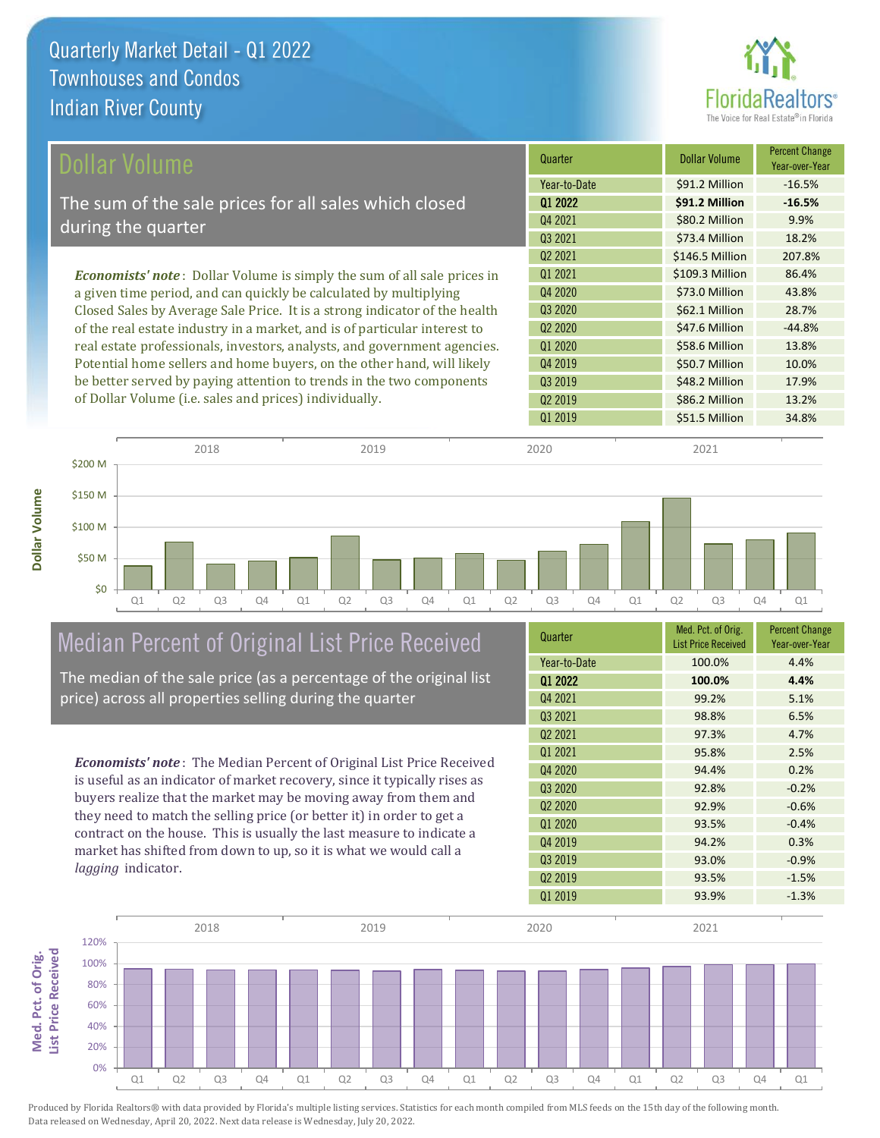**Dollar Volume**



| Dollar Volume                                                                   | Quarter             | <b>Dollar Volume</b> | <b>Percent Change</b><br>Year-over-Year |
|---------------------------------------------------------------------------------|---------------------|----------------------|-----------------------------------------|
|                                                                                 | Year-to-Date        | \$91.2 Million       | $-16.5%$                                |
| The sum of the sale prices for all sales which closed                           | 01 2022             | \$91.2 Million       | $-16.5%$                                |
| during the quarter                                                              | Q4 2021             | \$80.2 Million       | 9.9%                                    |
|                                                                                 | Q3 2021             | \$73.4 Million       | 18.2%                                   |
|                                                                                 | Q <sub>2</sub> 2021 | \$146.5 Million      | 207.8%                                  |
| <b>Economists' note</b> : Dollar Volume is simply the sum of all sale prices in | 01 2021             | \$109.3 Million      | 86.4%                                   |
| a given time period, and can quickly be calculated by multiplying               | Q4 2020             | \$73.0 Million       | 43.8%                                   |
| Closed Sales by Average Sale Price. It is a strong indicator of the health      | Q3 2020             | \$62.1 Million       | 28.7%                                   |
| of the real estate industry in a market, and is of particular interest to       | Q <sub>2</sub> 2020 | \$47.6 Million       | $-44.8%$                                |
| real estate professionals, investors, analysts, and government agencies.        | Q1 2020             | \$58.6 Million       | 13.8%                                   |
| Potential home sellers and home buyers, on the other hand, will likely          | Q4 2019             | \$50.7 Million       | 10.0%                                   |
| be better served by paying attention to trends in the two components            | Q3 2019             | \$48.2 Million       | 17.9%                                   |
| of Dollar Volume (i.e. sales and prices) individually.                          | Q <sub>2</sub> 2019 | \$86.2 Million       | 13.2%                                   |



### Median Percent of Original List Price Received

The median of the sale price (as a percentage of the original list price) across all properties selling during the quarter

*Economists' note* : The Median Percent of Original List Price Received is useful as an indicator of market recovery, since it typically rises as buyers realize that the market may be moving away from them and they need to match the selling price (or better it) in order to get a contract on the house. This is usually the last measure to indicate a market has shifted from down to up, so it is what we would call a *lagging* indicator.

| Quarter             | Med. Pct. of Orig.<br><b>List Price Received</b> | <b>Percent Change</b><br>Year-over-Year |
|---------------------|--------------------------------------------------|-----------------------------------------|
| Year-to-Date        | 100.0%                                           | 4.4%                                    |
| Q1 2022             | 100.0%                                           | 4.4%                                    |
| Q4 2021             | 99.2%                                            | 5.1%                                    |
| Q3 2021             | 98.8%                                            | 6.5%                                    |
| Q <sub>2</sub> 2021 | 97.3%                                            | 4.7%                                    |
| 01 2021             | 95.8%                                            | 2.5%                                    |
| Q4 2020             | 94.4%                                            | 0.2%                                    |
| Q3 2020             | 92.8%                                            | $-0.2%$                                 |
| Q <sub>2</sub> 2020 | 92.9%                                            | $-0.6%$                                 |
| Q1 2020             | 93.5%                                            | $-0.4%$                                 |
| Q4 2019             | 94.2%                                            | 0.3%                                    |
| Q3 2019             | 93.0%                                            | $-0.9%$                                 |
| Q <sub>2</sub> 2019 | 93.5%                                            | $-1.5%$                                 |
| Q1 2019             | 93.9%                                            | $-1.3%$                                 |

Q1 2019 **\$51.5 Million 34.8%** 

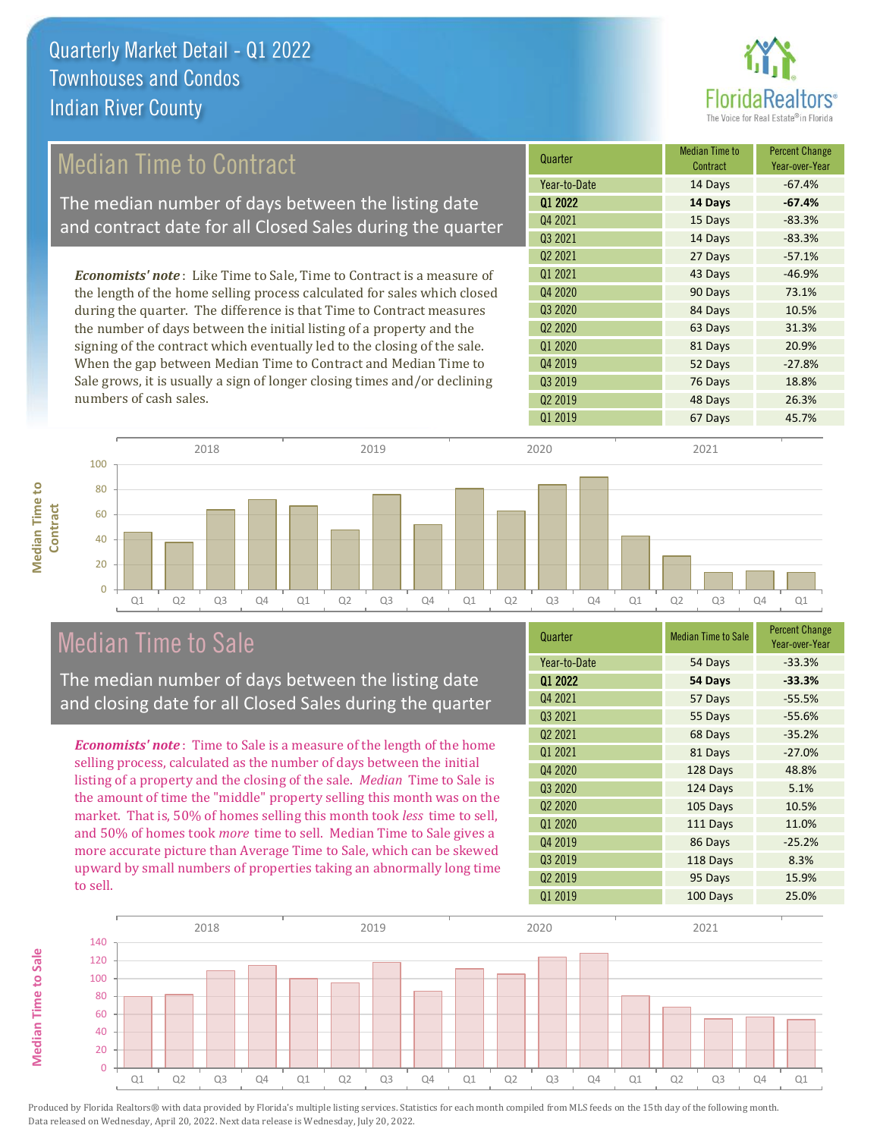

#### 14 Days -83.3% Q2 2021 27 Days -57.1% Q1 2020 81 Days 20.9% **Quarter Median Time to All According to All According Median Time to All According to All According to All According to All According to All According to All According to All According to All According to All According to Contract** Percent Change Year-over-Year Q1 2022 **14 Days -67.4%** Year-to-Date 14 Days -67.4% Q4 2021 15 Days -83.3% Q3 2021 Q3 2020 84 Days 10.5% Q2 2020 63 Days 31.3% Q1 2021 **43 Days** 43 Days 46.9% Q4 2020 90 Days 73.1% 52 Days -27.8% Q3 2019 76 Days 18.8% Q4 2019 Q2 2019 48 Days 26.3% Q1 2019 **67 Days** 45.7% *Economists' note* : Like Time to Sale, Time to Contract is a measure of the length of the home selling process calculated for sales which closed during the quarter. The difference is that Time to Contract measures the number of days between the initial listing of a property and the signing of the contract which eventually led to the closing of the sale. When the gap between Median Time to Contract and Median Time to Sale grows, it is usually a sign of longer closing times and/or declining numbers of cash sales. 20 40 60 80 100 **Contract** 2018 2019 2020 2021 Median Time to Contract The median number of days between the listing date and contract date for all Closed Sales during the quarter

Q1 Q2 Q3 Q4 Q1 Q2 Q3 Q4 Q1 Q2 Q3 Q4 Q1 Q2 Q3 Q4 Q1

### Median Time to Sale

 $\Omega$ 

**Median Time to** 

**Median Time to** 

The median number of days between the listing date and closing date for all Closed Sales during the quarter

*Economists' note* : Time to Sale is a measure of the length of the home selling process, calculated as the number of days between the initial listing of a property and the closing of the sale. *Median* Time to Sale is the amount of time the "middle" property selling this month was on the market. That is, 50% of homes selling this month took *less* time to sell, and 50% of homes took *more* time to sell. Median Time to Sale gives a more accurate picture than Average Time to Sale, which can be skewed upward by small numbers of properties taking an abnormally long time to sell.

| Quarter                         | <b>Median Time to Sale</b> | <b>Percent Change</b><br>Year-over-Year |
|---------------------------------|----------------------------|-----------------------------------------|
| Year-to-Date                    | 54 Days                    | $-33.3%$                                |
| 01 2022                         | 54 Days                    | $-33.3%$                                |
| Q4 2021                         | 57 Days                    | $-55.5%$                                |
| Q3 2021                         | 55 Days                    | $-55.6%$                                |
| Q <sub>2</sub> 2021             | 68 Days                    | $-35.2%$                                |
| 01 2021                         | 81 Days                    | $-27.0%$                                |
| Q4 2020                         | 128 Days                   | 48.8%                                   |
| Q <sub>3</sub> 2020             | 124 Days                   | 5.1%                                    |
| Q <sub>2</sub> 20 <sub>20</sub> | 105 Days                   | 10.5%                                   |
| Q1 2020                         | 111 Days                   | 11.0%                                   |
| Q4 2019                         | 86 Days                    | $-25.2%$                                |
| Q3 2019                         | 118 Days                   | 8.3%                                    |
| Q <sub>2</sub> 2019             | 95 Days                    | 15.9%                                   |
| 01 2019                         | 100 Days                   | 25.0%                                   |

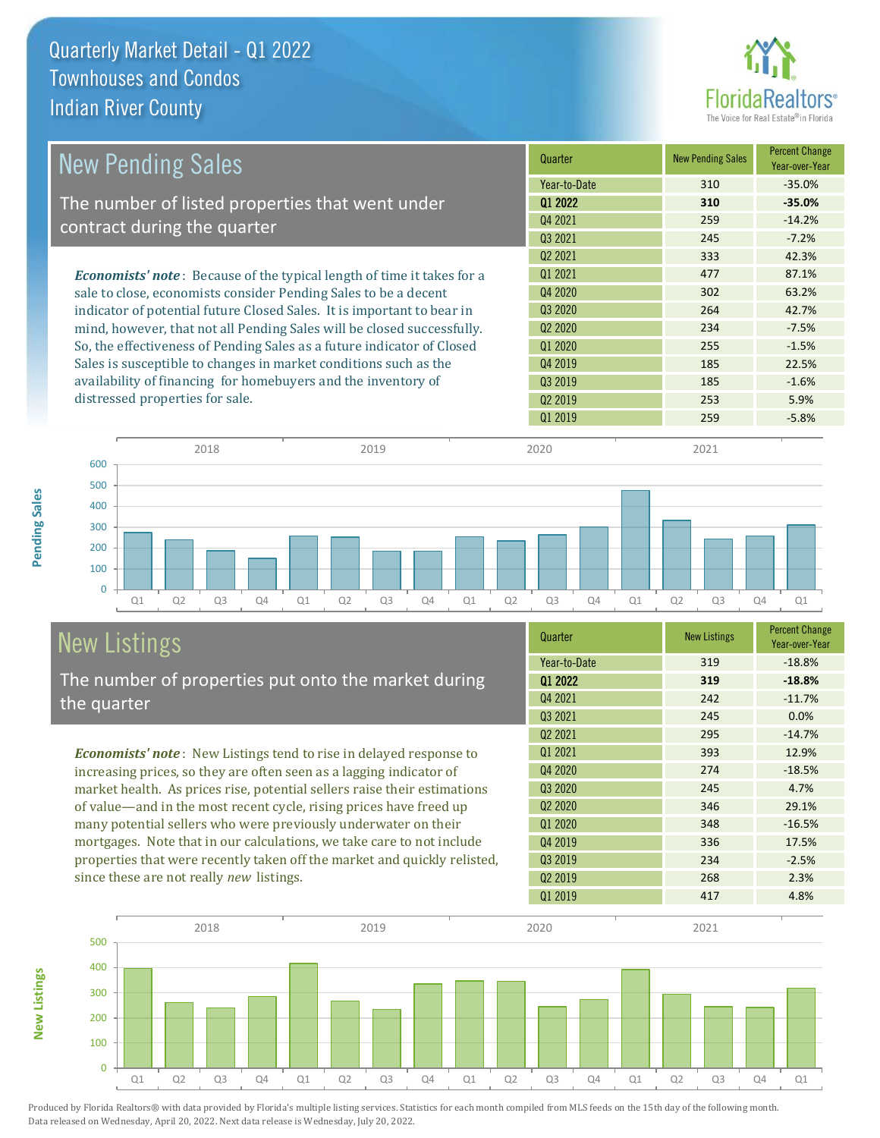

| <b>New Pending Sales</b>                                                      | Quarter             | <b>New Pending Sales</b> | <b>Percent Change</b><br>Year-over-Year |
|-------------------------------------------------------------------------------|---------------------|--------------------------|-----------------------------------------|
|                                                                               | Year-to-Date        | 310                      | $-35.0%$                                |
| The number of listed properties that went under                               | 01 2022             | 310                      | $-35.0%$                                |
| contract during the quarter                                                   | Q4 2021             | 259                      | $-14.2%$                                |
|                                                                               | Q3 2021             | 245                      | $-7.2%$                                 |
|                                                                               | Q <sub>2</sub> 2021 | 333                      | 42.3%                                   |
| <b>Economists' note:</b> Because of the typical length of time it takes for a | 01 2021             | 477                      | 87.1%                                   |
| sale to close, economists consider Pending Sales to be a decent               | Q4 2020             | 302                      | 63.2%                                   |
| indicator of potential future Closed Sales. It is important to bear in        | Q3 2020             | 264                      | 42.7%                                   |
| mind, however, that not all Pending Sales will be closed successfully.        | Q <sub>2</sub> 2020 | 234                      | $-7.5%$                                 |
| So, the effectiveness of Pending Sales as a future indicator of Closed        | 01 2020             | 255                      | $-1.5%$                                 |
| Sales is susceptible to changes in market conditions such as the              | Q4 2019             | 185                      | 22.5%                                   |
| availability of financing for homebuyers and the inventory of                 | Q3 2019             | 185                      | $-1.6%$                                 |
| distressed properties for sale.                                               | Q <sub>2</sub> 2019 | 253                      | 5.9%                                    |



### New Listings

**New Listings**

**Pending Sales**

Pending Sales

The number of properties put onto the market during the quarter

*Economists' note* : New Listings tend to rise in delayed response to increasing prices, so they are often seen as a lagging indicator of market health. As prices rise, potential sellers raise their estimations of value—and in the most recent cycle, rising prices have freed up many potential sellers who were previously underwater on their mortgages. Note that in our calculations, we take care to not include properties that were recently taken off the market and quickly relisted, since these are not really *new* listings.

| Quarter                         | <b>New Listings</b> | <b>Percent Change</b><br>Year-over-Year |
|---------------------------------|---------------------|-----------------------------------------|
| Year-to-Date                    | 319                 | $-18.8%$                                |
| Q1 2022                         | 319                 | $-18.8%$                                |
| Q4 2021                         | 242                 | $-11.7%$                                |
| Q3 2021                         | 245                 | 0.0%                                    |
| Q <sub>2</sub> 2021             | 295                 | $-14.7%$                                |
| 01 2021                         | 393                 | 12.9%                                   |
| Q4 2020                         | 274                 | $-18.5%$                                |
| Q3 2020                         | 245                 | 4.7%                                    |
| Q <sub>2</sub> 20 <sub>20</sub> | 346                 | 29.1%                                   |
| Q1 2020                         | 348                 | $-16.5%$                                |
| Q4 2019                         | 336                 | 17.5%                                   |
| Q3 2019                         | 234                 | $-2.5%$                                 |
| Q <sub>2</sub> 2019             | 268                 | 2.3%                                    |
| 01 2019                         | 417                 | 4.8%                                    |

 $Q1\ 2019$  259 -5.8%

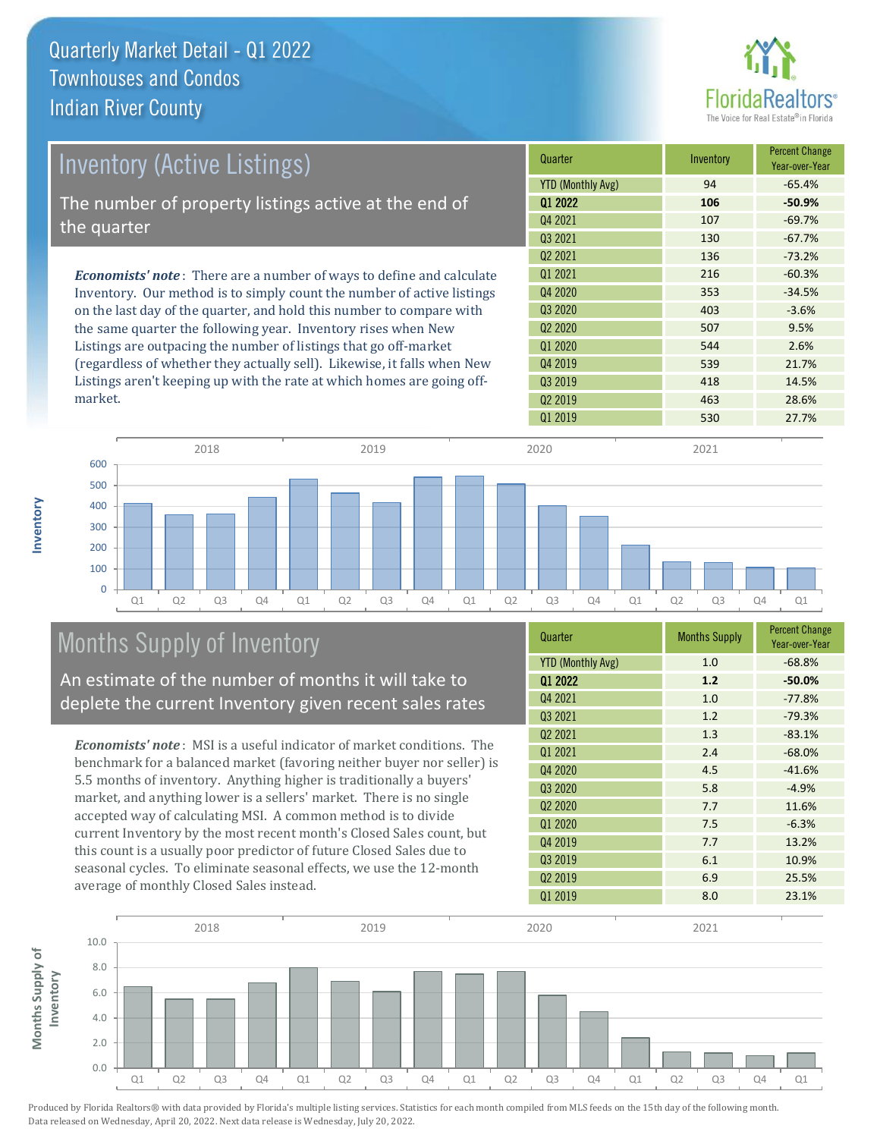

| <b>Inventory (Active Listings)</b>                                           | Quarter                  | Inventory | <b>Percent Change</b><br>Year-over-Year |
|------------------------------------------------------------------------------|--------------------------|-----------|-----------------------------------------|
|                                                                              | <b>YTD (Monthly Avg)</b> | 94        | $-65.4%$                                |
| The number of property listings active at the end of                         | 01 2022                  | 106       | $-50.9%$                                |
| the quarter                                                                  | 04 2021                  | 107       | $-69.7%$                                |
|                                                                              | Q3 2021                  | 130       | $-67.7%$                                |
|                                                                              | Q <sub>2</sub> 2021      | 136       | $-73.2%$                                |
| <b>Economists' note</b> : There are a number of ways to define and calculate | Q1 2021                  | 216       | $-60.3%$                                |
| Inventory. Our method is to simply count the number of active listings       | 04 2020                  | 353       | $-34.5%$                                |
| on the last day of the quarter, and hold this number to compare with         | Q3 2020                  | 403       | $-3.6%$                                 |
| the same quarter the following year. Inventory rises when New                | Q <sub>2</sub> 2020      | 507       | 9.5%                                    |
| Listings are outpacing the number of listings that go off-market             | Q1 2020                  | 544       | 2.6%                                    |

Listings are outpacing the number of listings that go off-market (regardless of whether they actually sell). Likewise, it falls when New Listings aren't keeping up with the rate at which homes are going offmarket.

| Q1 2022                         | 106 | $-50.9%$ |
|---------------------------------|-----|----------|
| Q4 2021                         | 107 | $-69.7%$ |
| Q3 2021                         | 130 | $-67.7%$ |
| Q <sub>2</sub> 20 <sub>21</sub> | 136 | $-73.2%$ |
| Q1 2021                         | 216 | $-60.3%$ |
| Q4 2020                         | 353 | $-34.5%$ |
| Q3 2020                         | 403 | $-3.6%$  |
| Q <sub>2</sub> 20 <sub>20</sub> | 507 | 9.5%     |
| Q1 2020                         | 544 | 2.6%     |
| Q4 2019                         | 539 | 21.7%    |
| Q3 2019                         | 418 | 14.5%    |
| Q <sub>2</sub> 2019             | 463 | 28.6%    |
| Q1 2019                         | 530 | 27.7%    |
|                                 |     |          |



### Months Supply of Inventory

An estimate of the number of months it will take to deplete the current Inventory given recent sales rates

*Economists' note* : MSI is a useful indicator of market conditions. The benchmark for a balanced market (favoring neither buyer nor seller) is 5.5 months of inventory. Anything higher is traditionally a buyers' market, and anything lower is a sellers' market. There is no single accepted way of calculating MSI. A common method is to divide current Inventory by the most recent month's Closed Sales count, but this count is a usually poor predictor of future Closed Sales due to seasonal cycles. To eliminate seasonal effects, we use the 12-month average of monthly Closed Sales instead.

| Quarter                  | <b>Months Supply</b> | <b>Percent Change</b><br>Year-over-Year |
|--------------------------|----------------------|-----------------------------------------|
| <b>YTD (Monthly Avg)</b> | 1.0                  | $-68.8%$                                |
| Q1 2022                  | 1.2                  | $-50.0%$                                |
| Q4 2021                  | 1.0                  | $-77.8%$                                |
| Q3 2021                  | 1.2                  | $-79.3%$                                |
| Q <sub>2</sub> 2021      | 1.3                  | $-83.1%$                                |
| Q1 2021                  | 2.4                  | $-68.0%$                                |
| Q4 2020                  | 4.5                  | $-41.6%$                                |
| Q3 2020                  | 5.8                  | $-4.9%$                                 |
| Q <sub>2</sub> 2020      | 7.7                  | 11.6%                                   |
| Q1 2020                  | 7.5                  | $-6.3%$                                 |
| Q4 2019                  | 7.7                  | 13.2%                                   |
| Q3 2019                  | 6.1                  | 10.9%                                   |
| Q <sub>2</sub> 2019      | 6.9                  | 25.5%                                   |
| Q1 2019                  | 8.0                  | 23.1%                                   |

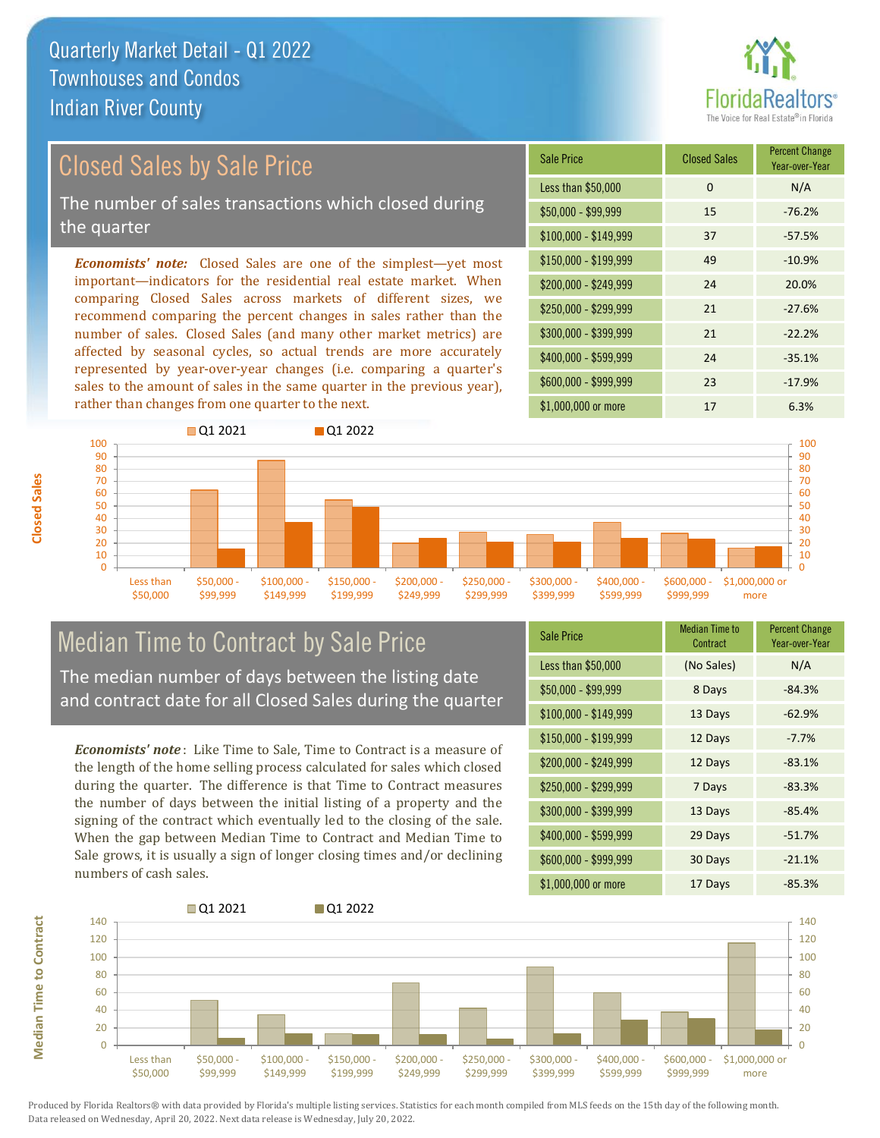

### Closed Sales by Sale Price

The number of sales transactions which closed during the quarter

*Economists' note:* Closed Sales are one of the simplest—yet most important—indicators for the residential real estate market. When comparing Closed Sales across markets of different sizes, we recommend comparing the percent changes in sales rather than the number of sales. Closed Sales (and many other market metrics) are affected by seasonal cycles, so actual trends are more accurately represented by year-over-year changes (i.e. comparing a quarter's sales to the amount of sales in the same quarter in the previous year), rather than changes from one quarter to the next.

| Sale Price            | <b>Closed Sales</b> | <b>Percent Change</b><br>Year-over-Year |  |
|-----------------------|---------------------|-----------------------------------------|--|
| Less than \$50,000    | $\Omega$            | N/A                                     |  |
| \$50,000 - \$99,999   | 15                  | $-76.2%$                                |  |
| $$100,000 - $149,999$ | 37                  | $-57.5%$                                |  |
| $$150,000 - $199,999$ | 49                  | $-10.9%$                                |  |
| $$200,000 - $249,999$ | 24                  | 20.0%                                   |  |
| \$250,000 - \$299,999 | 21                  | $-27.6%$                                |  |
| \$300,000 - \$399,999 | 21                  | $-22.2%$                                |  |
| $$400,000 - $599,999$ | 74                  | $-35.1%$                                |  |
| \$600,000 - \$999,999 | 23                  | $-17.9%$                                |  |
| \$1,000,000 or more   | 17                  | 6.3%                                    |  |



### Median Time to Contract by Sale Price The median number of days between the listing date

and contract date for all Closed Sales during the quarter

*Economists' note* : Like Time to Sale, Time to Contract is a measure of the length of the home selling process calculated for sales which closed during the quarter. The difference is that Time to Contract measures the number of days between the initial listing of a property and the signing of the contract which eventually led to the closing of the sale. When the gap between Median Time to Contract and Median Time to Sale grows, it is usually a sign of longer closing times and/or declining numbers of cash sales.

| <b>Sale Price</b>     | <b>Median Time to</b><br>Contract | <b>Percent Change</b><br>Year-over-Year |
|-----------------------|-----------------------------------|-----------------------------------------|
| Less than \$50,000    | (No Sales)                        | N/A                                     |
| $$50,000 - $99,999$   | 8 Days                            | $-84.3%$                                |
| $$100,000 - $149,999$ | 13 Days                           | $-62.9%$                                |
| $$150,000 - $199,999$ | 12 Days                           | $-7.7%$                                 |
| \$200,000 - \$249,999 | 12 Days                           | $-83.1%$                                |
| $$250,000 - $299,999$ | 7 Days                            | $-83.3%$                                |
| \$300,000 - \$399,999 | 13 Days                           | $-85.4%$                                |
| \$400,000 - \$599,999 | 29 Days                           | $-51.7%$                                |
| \$600,000 - \$999,999 | 30 Days                           | $-21.1%$                                |
| \$1,000,000 or more   | 17 Days                           | $-85.3%$                                |



Produced by Florida Realtors® with data provided by Florida's multiple listing services. Statistics for each month compiled from MLS feeds on the 15th day of the following month. Data released on Wednesday, April 20, 2022. Next data release is Wednesday, July 20, 2022.

**Median Time to Contract**

**Median Time to Contract**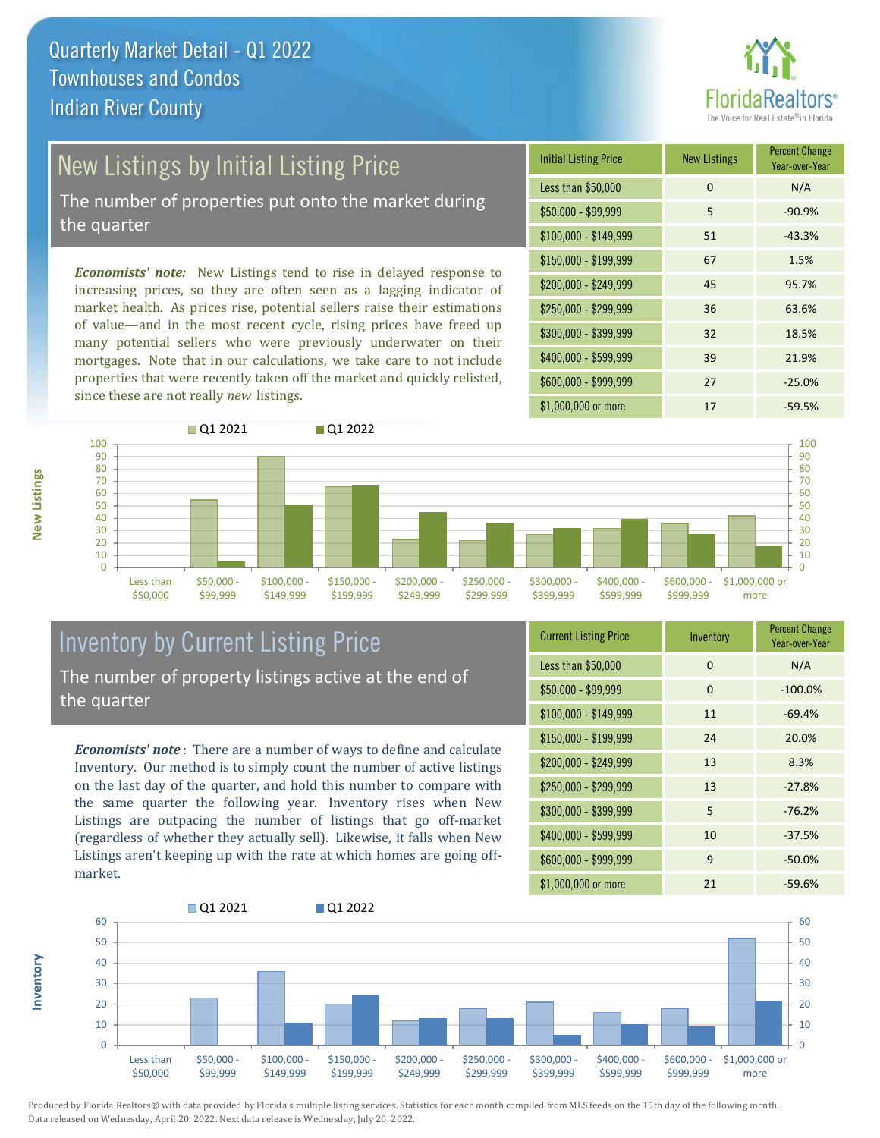

# New Listings by Initial Listing Price

The number of properties put onto the market during the quarter

*Economists' note:* New Listings tend to rise in delayed response to increasing prices, so they are often seen as a lagging indicator of market health. As prices rise, potential sellers raise their estimations of value—and in the most recent cycle, rising prices have freed up many potential sellers who were previously underwater on their mortgages. Note that in our calculations, we take care to not include properties that were recently taken off the market and quickly relisted, since these are not really *new* listings.

| <b>Initial Listing Price</b> | <b>New Listings</b> | <b>Percent Change</b><br>Year-over-Year |
|------------------------------|---------------------|-----------------------------------------|
| Less than \$50,000           | $\Omega$            | N/A                                     |
| $$50,000 - $99,999$          | 5                   | $-90.9%$                                |
| $$100,000 - $149,999$        | 51                  | $-43.3%$                                |
| $$150,000 - $199,999$        | 67                  | 1.5%                                    |
| \$200,000 - \$249,999        | 45                  | 95.7%                                   |
| \$250,000 - \$299,999        | 36                  | 63.6%                                   |
| \$300,000 - \$399,999        | 32                  | 18.5%                                   |
| \$400,000 - \$599,999        | 39                  | 21.9%                                   |
| \$600,000 - \$999,999        | 27                  | $-25.0%$                                |
| \$1,000,000 or more          | 17                  | $-59.5%$                                |



### Inventory by Current Listing Price The number of property listings active at the end of the quarter

*Economists' note* : There are a number of ways to define and calculate Inventory. Our method is to simply count the number of active listings on the last day of the quarter, and hold this number to compare with the same quarter the following year. Inventory rises when New Listings are outpacing the number of listings that go off-market (regardless of whether they actually sell). Likewise, it falls when New Listings aren't keeping up with the rate at which homes are going offmarket.

| <b>Current Listing Price</b> | Inventory | <b>Percent Change</b><br>Year-over-Year |  |  |
|------------------------------|-----------|-----------------------------------------|--|--|
| Less than \$50,000           | $\Omega$  | N/A                                     |  |  |
| $$50,000 - $99,999$          | $\Omega$  | $-100.0%$                               |  |  |
| $$100,000 - $149,999$        | 11        | $-69.4%$                                |  |  |
| $$150,000 - $199,999$        | 24        | 20.0%                                   |  |  |
| $$200,000 - $249,999$        | 13        | 8.3%                                    |  |  |
| \$250,000 - \$299,999        | 13        | $-27.8%$                                |  |  |
| \$300,000 - \$399,999        | 5         | $-76.2%$                                |  |  |
| \$400,000 - \$599,999        | 10        | $-37.5%$                                |  |  |
| \$600,000 - \$999,999        | 9         | $-50.0%$                                |  |  |
| \$1,000,000 or more          | 21        | $-59.6%$                                |  |  |



Produced by Florida Realtors® with data provided by Florida's multiple listing services. Statistics for each month compiled from MLS feeds on the 15th day of the following month. Data released on Wednesday, April 20, 2022. Next data release is Wednesday, July 20, 2022.

**Inventory**